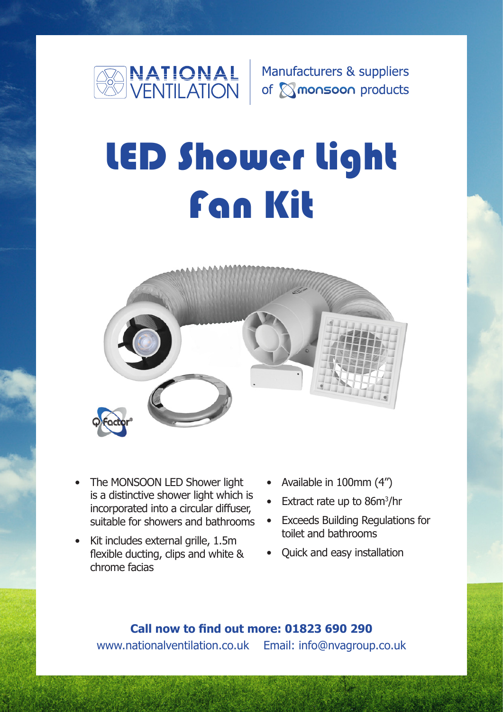

Manufacturers & suppliers of **Monsoon** products

# LED Shower Light Fan Kit



- The MONSOON LED Shower light is a distinctive shower light which is incorporated into a circular diffuser, suitable for showers and bathrooms
- Kit includes external grille, 1.5m flexible ducting, clips and white & chrome facias
- Available in 100mm (4")
- Extract rate up to 86m<sup>3</sup>/hr
- Exceeds Building Regulations for toilet and bathrooms
- Quick and easy installation

www.nationalventilation.co.uk Email: info@nvagroup.co.uk **Call now to find out more: 01823 690 290**